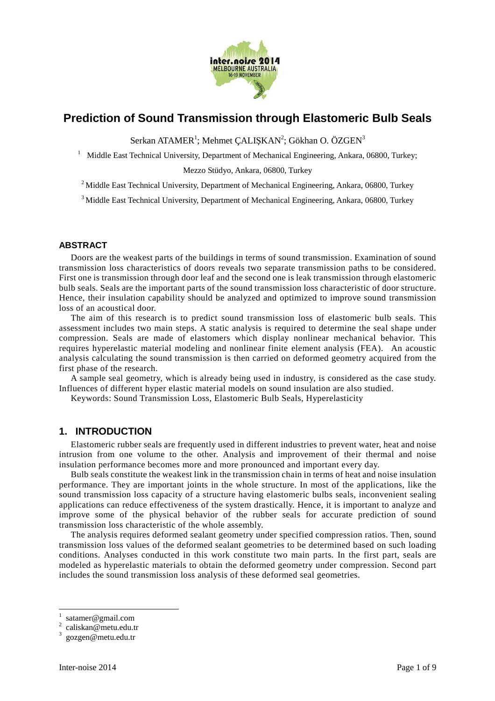

# **Prediction of Sound Transmission through Elastomeric Bulb Seals**

 $S$ erkan ATAMER $^1$ ; Mehmet ÇALIŞKAN $^2$ ; Gökhan O. ÖZGEN $^3$ 

<sup>1</sup>Middle East Technical University, Department of Mechanical Engineering, Ankara, 06800, Turkey;

Mezzo Stüdyo, Ankara, 06800, Turkey

 $2$  Middle East Technical University, Department of Mechanical Engineering, Ankara, 06800, Turkey

<sup>3</sup> Middle East Technical University, Department of Mechanical Engineering, Ankara, 06800, Turkey

### **ABSTRACT**

Doors are the weakest parts of the buildings in terms of sound transmission. Examination of sound transmission loss characteristics of doors reveals two separate transmission paths to be considered. First one is transmission through door leaf and the second one is leak transmission through elastomeric bulb seals. Seals are the important parts of the sound transmission loss characteristic of door structure. Hence, their insulation capability should be analyzed and optimized to improve sound transmission loss of an acoustical door.

The aim of this research is to predict sound transmission loss of elastomeric bulb seals. This assessment includes two main steps. A static analysis is required to determine the seal shape under compression. Seals are made of elastomers which display nonlinear mechanical behavior. This requires hyperelastic material modeling and nonlinear finite element analysis (FEA). An acoustic analysis calculating the sound transmission is then carried on deformed geometry acquired from the first phase of the research.

A sample seal geometry, which is already being used in industry, is considered as the case study. Influences of different hyper elastic material models on sound insulation are also studied.

Keywords: Sound Transmission Loss, Elastomeric Bulb Seals, Hyperelasticity

### **1. INTRODUCTION**

Elastomeric rubber seals are frequently used in different industries to prevent water, heat and noise intrusion from one volume to the other. Analysis and improvement of their thermal and noise insulation performance becomes more and more pronounced and important every day.

Bulb seals constitute the weakest link in the transmission chain in terms of heat and noise insulation performance. They are important joints in the whole structure. In most of the applications, like the sound transmission loss capacity of a structure having elastomeric bulbs seals, inconvenient sealing applications can reduce effectiveness of the system drastically. Hence, it is important to analyze and improve some of the physical behavior of the rubber seals for accurate prediction of sound transmission loss characteristic of the whole assembly.

The analysis requires deformed sealant geometry under specified compression ratios. Then, sound transmission loss values of the deformed sealant geometries to be determined based on such loading conditions. Analyses conducted in this work constitute two main parts. In the first part, seals are modeled as hyperelastic materials to obtain the deformed geometry under compression. Second part includes the sound transmission loss analysis of these deformed seal geometries.

 $\overline{a}$ 

<sup>1</sup> satamer@gmail.com

<sup>2</sup> caliskan@metu.edu.tr

<sup>3</sup> gozgen@metu.edu.tr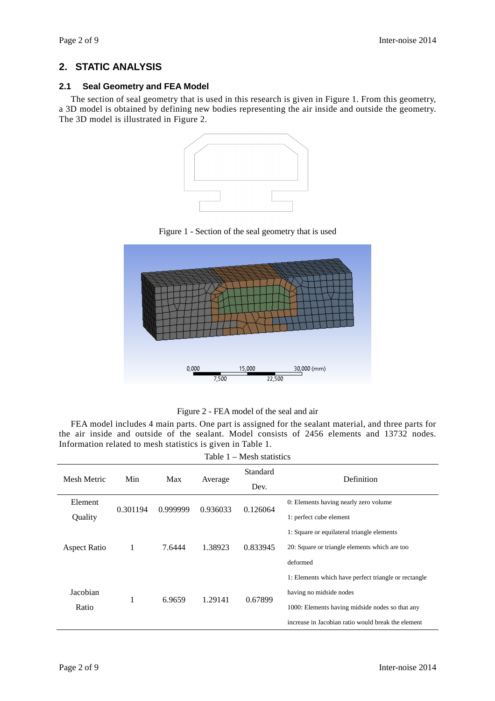# **2. STATIC ANALYSIS**

## **2.1 Seal Geometry and FEA Model**

The section of seal geometry that is used in this research is given in Figure 1. From this geometry, a 3D model is obtained by defining new bodies representing the air inside and outside the geometry. The 3D model is illustrated in Figure 2.



Figure 1 - Section of the seal geometry that is used



Figure 2 - FEA model of the seal and air

FEA model includes 4 main parts. One part is assigned for the sealant material, and three parts for the air inside and outside of the sealant. Model consists of 2456 elements and 13732 nodes. Information related to mesh statistics is given in Table 1.

| Table 1 – Mesh statistics |          |          |          |                  |                                                                                                                                                                                          |  |  |  |  |
|---------------------------|----------|----------|----------|------------------|------------------------------------------------------------------------------------------------------------------------------------------------------------------------------------------|--|--|--|--|
| Mesh Metric               | Min      | Max      | Average  | Standard<br>Dev. | Definition                                                                                                                                                                               |  |  |  |  |
| Element<br>Quality        | 0.301194 | 0.999999 | 0.936033 | 0.126064         | 0: Elements having nearly zero volume<br>1: perfect cube element                                                                                                                         |  |  |  |  |
| <b>Aspect Ratio</b>       | 1        | 7.6444   | 1.38923  | 0.833945         | 1: Square or equilateral triangle elements<br>20: Square or triangle elements which are too<br>deformed                                                                                  |  |  |  |  |
| Jacobian<br>Ratio         | 1        | 6.9659   | 1.29141  | 0.67899          | 1: Elements which have perfect triangle or rectangle<br>having no midside nodes<br>1000: Elements having midside nodes so that any<br>increase in Jacobian ratio would break the element |  |  |  |  |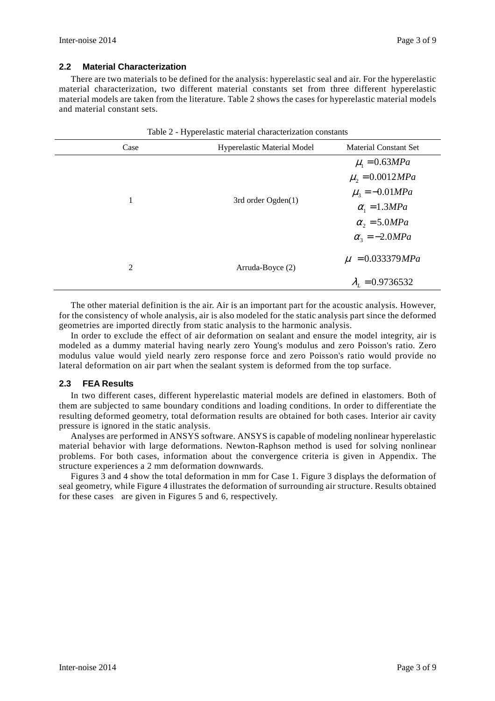### **2.2 Material Characterization**

There are two materials to be defined for the analysis: hyperelastic seal and air. For the hyperelastic material characterization, two different material constants set from three different hyperelastic material models are taken from the literature. Table 2 shows the cases for hyperelastic material models and material constant sets.

| Case           | Hyperelastic Material Model | <b>Material Constant Set</b> |  |
|----------------|-----------------------------|------------------------------|--|
|                |                             | $\mu_1 = 0.63 MPa$           |  |
|                |                             | $\mu_2 = 0.0012 MPa$         |  |
|                | 3rd order Ogden(1)          | $\mu_{3} = -0.01 MPa$        |  |
| 1              |                             | $\alpha_1 = 1.3 MPa$         |  |
|                |                             | $\alpha_2 = 5.0 MPa$         |  |
|                |                             | $\alpha_{3} = -2.0 MPa$      |  |
| $\overline{2}$ | Arruda-Boyce (2)            | $\mu = 0.033379MPa$          |  |
|                |                             | $\lambda_{1} = 0.9736532$    |  |

Table 2 - Hyperelastic material characterization constants

The other material definition is the air. Air is an important part for the acoustic analysis. However, for the consistency of whole analysis, air is also modeled for the static analysis part since the deformed geometries are imported directly from static analysis to the harmonic analysis.

In order to exclude the effect of air deformation on sealant and ensure the model integrity, air is modeled as a dummy material having nearly zero Young's modulus and zero Poisson's ratio. Zero modulus value would yield nearly zero response force and zero Poisson's ratio would provide no lateral deformation on air part when the sealant system is deformed from the top surface.

### **2.3 FEA Results**

In two different cases, different hyperelastic material models are defined in elastomers. Both of them are subjected to same boundary conditions and loading conditions. In order to differentiate the resulting deformed geometry, total deformation results are obtained for both cases. Interior air cavity pressure is ignored in the static analysis.

Analyses are performed in ANSYS software. ANSYS is capable of modeling nonlinear hyperelastic material behavior with large deformations. Newton-Raphson method is used for solving nonlinear problems. For both cases, information about the convergence criteria is given in Appendix. The structure experiences a 2 mm deformation downwards.

Figures 3 and 4 show the total deformation in mm for Case 1. Figure 3 displays the deformation of seal geometry, while Figure 4 illustrates the deformation of surrounding air structure. Results obtained for these cases are given in Figures 5 and 6, respectively.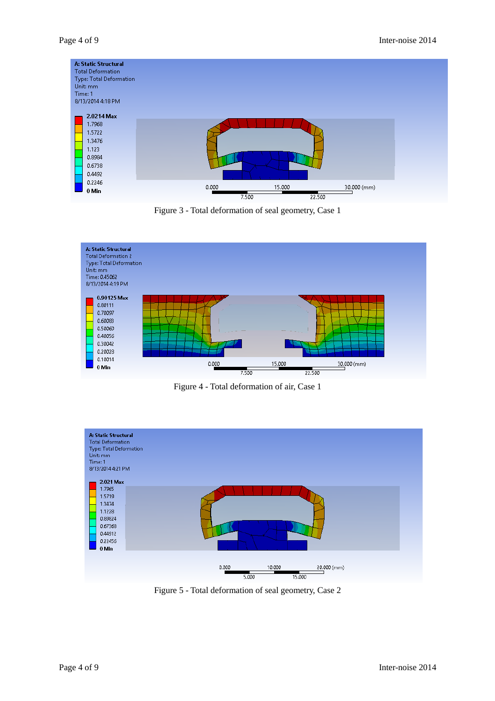| Unit: mm<br>Time: 1 | A: Static Structural<br><b>Total Deformation</b><br><b>Type: Total Deformation</b><br>8/13/2014 4:18 PM |       |       |                  |             |  |
|---------------------|---------------------------------------------------------------------------------------------------------|-------|-------|------------------|-------------|--|
|                     | 2.0214 Max<br>1.7968<br>1.5722<br>1.3476<br>1.123<br>0.8984<br>0.6738<br>0.4492                         |       |       |                  |             |  |
|                     | 0.2246<br>0 Min                                                                                         | 0.000 | 7.500 | 15.000<br>22.500 | 30.000 (mm) |  |

Figure 3 - Total deformation of seal geometry, Case 1



Figure 4 - Total deformation of air, Case 1



Figure 5 - Total deformation of seal geometry, Case 2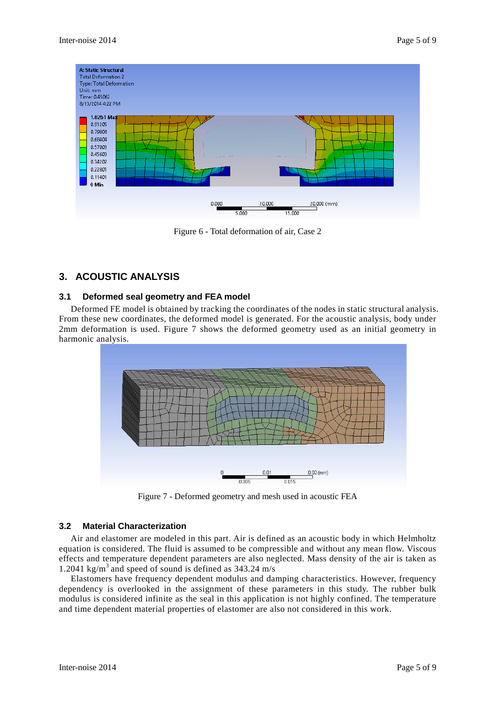

Figure 6 - Total deformation of air, Case 2

# **3. ACOUSTIC ANALYSIS**

### **3.1 Deformed seal geometry and FEA model**

Deformed FE model is obtained by tracking the coordinates of the nodes in static structural analysis. From these new coordinates, the deformed model is generated. For the acoustic analysis, body under 2mm deformation is used. Figure 7 shows the deformed geometry used as an initial geometry in harmonic analysis.



Figure 7 - Deformed geometry and mesh used in acoustic FEA

### **3.2 Material Characterization**

Air and elastomer are modeled in this part. Air is defined as an acoustic body in which Helmholtz equation is considered. The fluid is assumed to be compressible and without any mean flow. Viscous effects and temperature dependent parameters are also neglected. Mass density of the air is taken as 1.2041 kg/m<sup>3</sup> and speed of sound is defined as  $343.24$  m/s

Elastomers have frequency dependent modulus and damping characteristics. However, frequency dependency is overlooked in the assignment of these parameters in this study. The rubber bulk modulus is considered infinite as the seal in this application is not highly confined. The temperature and time dependent material properties of elastomer are also not considered in this work.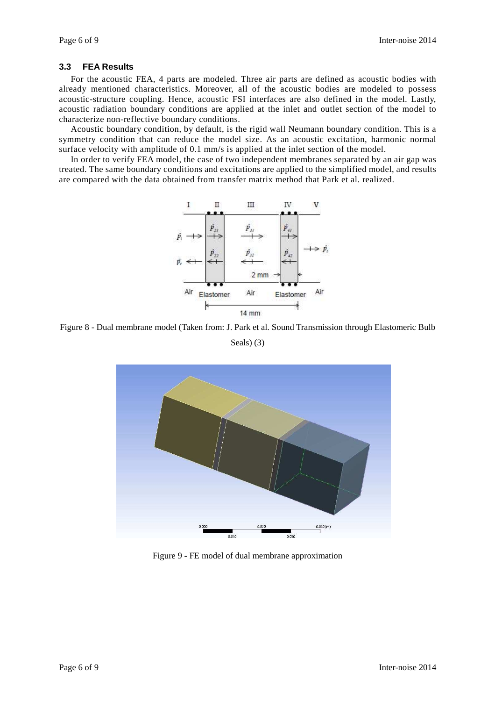### **3.3 FEA Results**

For the acoustic FEA, 4 parts are modeled. Three air parts are defined as acoustic bodies with already mentioned characteristics. Moreover, all of the acoustic bodies are modeled to possess acoustic-structure coupling. Hence, acoustic FSI interfaces are also defined in the model. Lastly, acoustic radiation boundary conditions are applied at the inlet and outlet section of the model to characterize non-reflective boundary conditions.

Acoustic boundary condition, by default, is the rigid wall Neumann boundary condition. This is a symmetry condition that can reduce the model size. As an acoustic excitation, harmonic normal surface velocity with amplitude of 0.1 mm/s is applied at the inlet section of the model.

In order to verify FEA model, the case of two independent membranes separated by an air gap was treated. The same boundary conditions and excitations are applied to the simplified model, and results are compared with the data obtained from transfer matrix method that Park et al. realized.



Figure 8 - Dual membrane model (Taken from: J. Park et al. Sound Transmission through Elastomeric Bulb Seals) (3)



Figure 9 - FE model of dual membrane approximation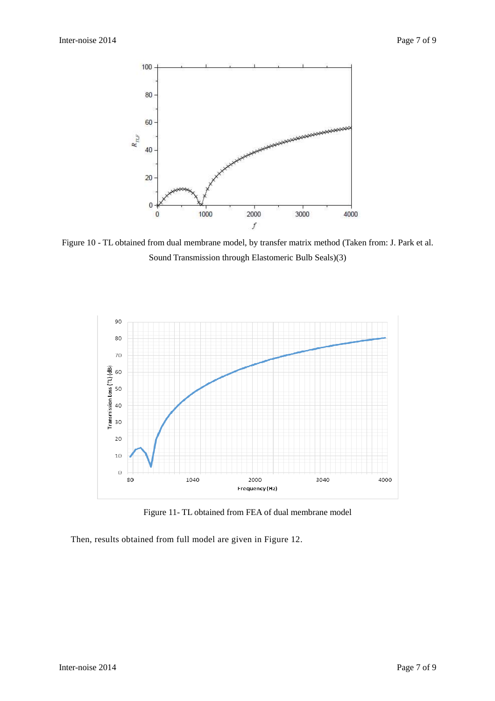

Figure 10 - TL obtained from dual membrane model, by transfer matrix method (Taken from: J. Park et al. Sound Transmission through Elastomeric Bulb Seals)(3)



Figure 11- TL obtained from FEA of dual membrane model

Then, results obtained from full model are given in Figure 12.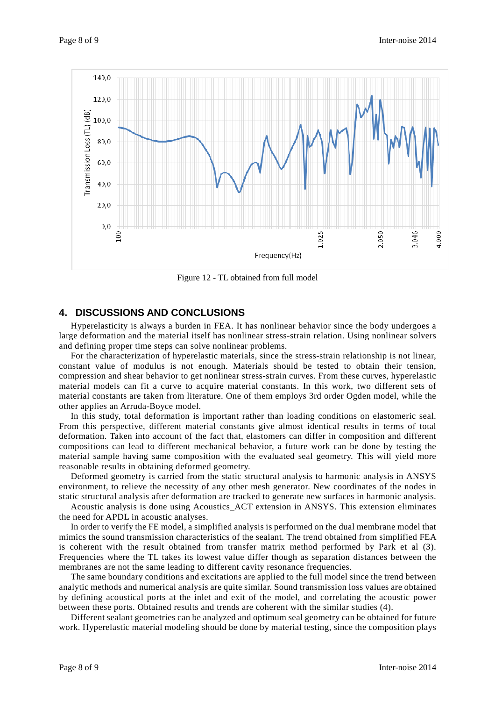

Figure 12 - TL obtained from full model

### **4. DISCUSSIONS AND CONCLUSIONS**

Hyperelasticity is always a burden in FEA. It has nonlinear behavior since the body undergoes a large deformation and the material itself has nonlinear stress-strain relation. Using nonlinear solvers and defining proper time steps can solve nonlinear problems.

For the characterization of hyperelastic materials, since the stress-strain relationship is not linear, constant value of modulus is not enough. Materials should be tested to obtain their tension, compression and shear behavior to get nonlinear stress-strain curves. From these curves, hyperelastic material models can fit a curve to acquire material constants. In this work, two different sets of material constants are taken from literature. One of them employs 3rd order Ogden model, while the other applies an Arruda-Boyce model.

In this study, total deformation is important rather than loading conditions on elastomeric seal. From this perspective, different material constants give almost identical results in terms of total deformation. Taken into account of the fact that, elastomers can differ in composition and different compositions can lead to different mechanical behavior, a future work can be done by testing the material sample having same composition with the evaluated seal geometry. This will yield more reasonable results in obtaining deformed geometry.

Deformed geometry is carried from the static structural analysis to harmonic analysis in ANSYS environment, to relieve the necessity of any other mesh generator. New coordinates of the nodes in static structural analysis after deformation are tracked to generate new surfaces in harmonic analysis.

Acoustic analysis is done using Acoustics\_ACT extension in ANSYS. This extension eliminates the need for APDL in acoustic analyses.

In order to verify the FE model, a simplified analysis is performed on the dual membrane model that mimics the sound transmission characteristics of the sealant. The trend obtained from simplified FEA is coherent with the result obtained from transfer matrix method performed by Park et al (3). Frequencies where the TL takes its lowest value differ though as separation distances between the membranes are not the same leading to different cavity resonance frequencies.

The same boundary conditions and excitations are applied to the full model since the trend between analytic methods and numerical analysis are quite similar. Sound transmission loss values are obtained by defining acoustical ports at the inlet and exit of the model, and correlating the acoustic power between these ports. Obtained results and trends are coherent with the similar studies (4).

Different sealant geometries can be analyzed and optimum seal geometry can be obtained for future work. Hyperelastic material modeling should be done by material testing, since the composition plays